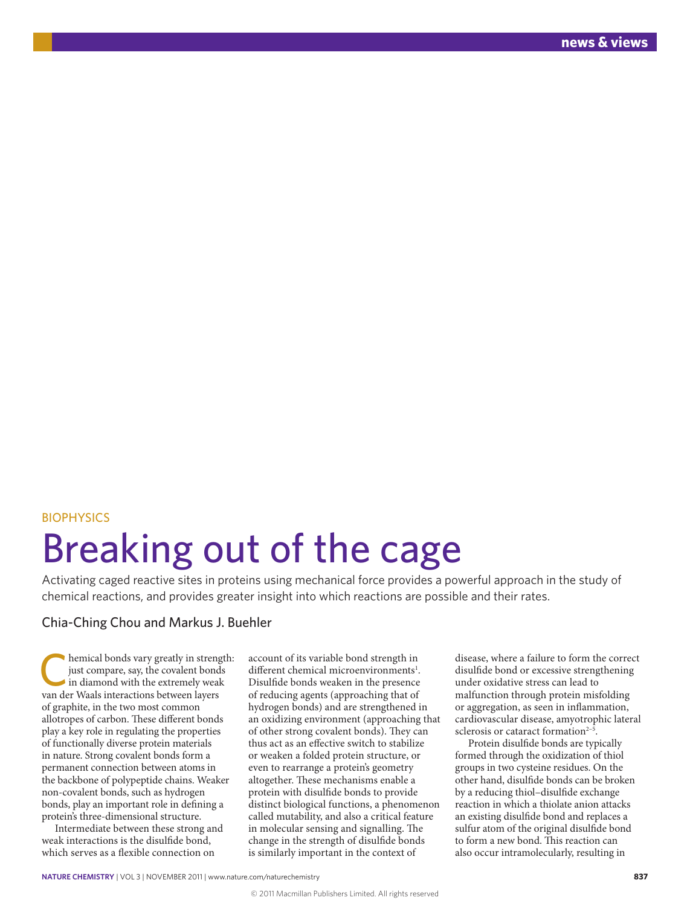## **BIOPHYSICS** Breaking out of the cage

Activating caged reactive sites in proteins using mechanical force provides a powerful approach in the study of chemical reactions, and provides greater insight into which reactions are possible and their rates.

## Chia-Ching Chou and Markus J. Buehler

hemical bonds vary greatly in strength: just compare, say, the covalent bonds in diamond with the extremely weak van der Waals interactions between layers of graphite, in the two most common allotropes of carbon. These different bonds play a key role in regulating the properties of functionally diverse protein materials in nature. Strong covalent bonds form a permanent connection between atoms in the backbone of polypeptide chains. Weaker non-covalent bonds, such as hydrogen bonds, play an important role in defining a protein's three-dimensional structure.

Intermediate between these strong and weak interactions is the disulfide bond, which serves as a flexible connection on

account of its variable bond strength in different chemical microenvironments<sup>1</sup>. Disulfide bonds weaken in the presence of reducing agents (approaching that of hydrogen bonds) and are strengthened in an oxidizing environment (approaching that of other strong covalent bonds). They can thus act as an effective switch to stabilize or weaken a folded protein structure, or even to rearrange a protein's geometry altogether. These mechanisms enable a protein with disulfide bonds to provide distinct biological functions, a phenomenon called mutability, and also a critical feature in molecular sensing and signalling. The change in the strength of disulfide bonds is similarly important in the context of

disease, where a failure to form the correct disulfide bond or excessive strengthening under oxidative stress can lead to malfunction through protein misfolding or aggregation, as seen in inflammation, cardiovascular disease, amyotrophic lateral sclerosis or cataract formation $2-5$ .

Protein disulfide bonds are typically formed through the oxidization of thiol groups in two cysteine residues. On the other hand, disulfide bonds can be broken by a reducing thiol–disulfide exchange reaction in which a thiolate anion attacks an existing disulfide bond and replaces a sulfur atom of the original disulfide bond to form a new bond. This reaction can also occur intramolecularly, resulting in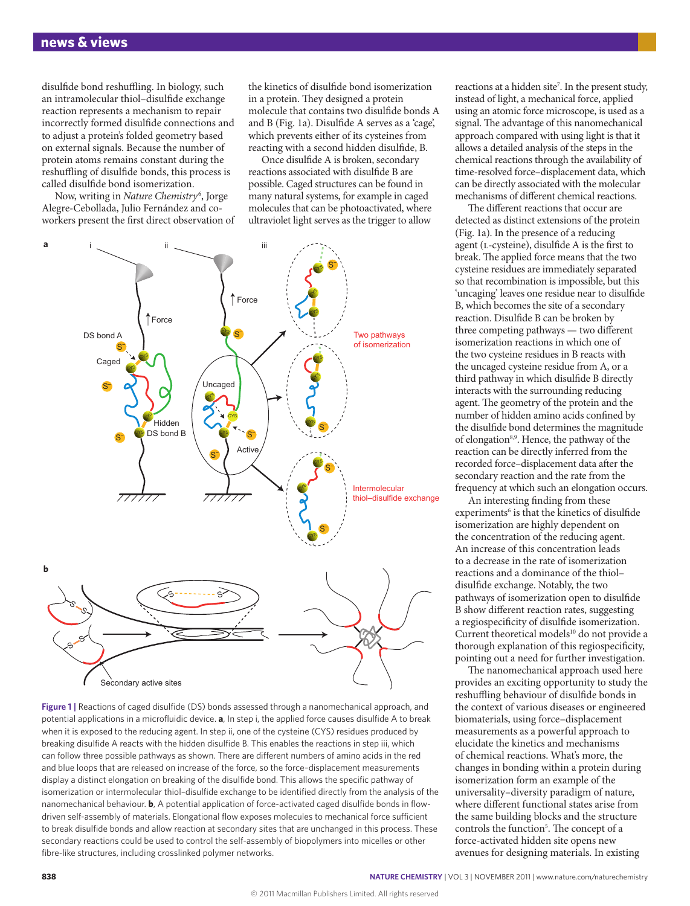## **news & views**

disulfide bond reshuffling. In biology, such an intramolecular thiol–disulfide exchange reaction represents a mechanism to repair incorrectly formed disulfide connections and to adjust a protein's folded geometry based on external signals. Because the number of protein atoms remains constant during the reshuffling of disulfide bonds, this process is called disulfide bond isomerization.

Now, writing in *Nature Chemistry* <sup>6</sup> , Jorge Alegre-Cebollada, Julio Fernández and coworkers present the first direct observation of the kinetics of disulfide bond isomerization in a protein. They designed a protein molecule that contains two disulfide bonds A and B (Fig. 1a). Disulfide A serves as a 'cage', which prevents either of its cysteines from reacting with a second hidden disulfide, B.

Once disulfide A is broken, secondary reactions associated with disulfide B are possible. Caged structures can be found in many natural systems, for example in caged molecules that can be photoactivated, where ultraviolet light serves as the trigger to allow



**Figure 1 |** Reactions of caged disulfide (DS) bonds assessed through a nanomechanical approach, and potential applications in a microfluidic device. **a**, In step i, the applied force causes disulfide A to break when it is exposed to the reducing agent. In step ii, one of the cysteine (CYS) residues produced by breaking disulfide A reacts with the hidden disulfide B. This enables the reactions in step iii, which can follow three possible pathways as shown. There are different numbers of amino acids in the red and blue loops that are released on increase of the force, so the force–displacement measurements display a distinct elongation on breaking of the disulfide bond. This allows the specific pathway of isomerization or intermolecular thiol–disulfide exchange to be identified directly from the analysis of the nanomechanical behaviour. **b**, A potential application of force-activated caged disulfide bonds in flowdriven self-assembly of materials. Elongational flow exposes molecules to mechanical force sufficient to break disulfide bonds and allow reaction at secondary sites that are unchanged in this process. These secondary reactions could be used to control the self-assembly of biopolymers into micelles or other fibre-like structures, including crosslinked polymer networks.

reactions at a hidden site<sup>7</sup>. In the present study, instead of light, a mechanical force, applied using an atomic force microscope, is used as a signal. The advantage of this nanomechanical approach compared with using light is that it allows a detailed analysis of the steps in the chemical reactions through the availability of time-resolved force–displacement data, which can be directly associated with the molecular mechanisms of different chemical reactions.

The different reactions that occur are detected as distinct extensions of the protein (Fig. 1a). In the presence of a reducing agent (L-cysteine), disulfide A is the first to break. The applied force means that the two cysteine residues are immediately separated so that recombination is impossible, but this 'uncaging' leaves one residue near to disulfide B, which becomes the site of a secondary reaction. Disulfide B can be broken by three competing pathways — two different isomerization reactions in which one of the two cysteine residues in B reacts with the uncaged cysteine residue from A, or a third pathway in which disulfide B directly interacts with the surrounding reducing agent. The geometry of the protein and the number of hidden amino acids confined by the disulfide bond determines the magnitude of elongation<sup>8,9</sup>. Hence, the pathway of the reaction can be directly inferred from the recorded force–displacement data after the secondary reaction and the rate from the frequency at which such an elongation occurs.

An interesting finding from these experiments<sup>6</sup> is that the kinetics of disulfide isomerization are highly dependent on the concentration of the reducing agent. An increase of this concentration leads to a decrease in the rate of isomerization reactions and a dominance of the thiol– disulfide exchange. Notably, the two pathways of isomerization open to disulfide B show different reaction rates, suggesting a regiospecificity of disulfide isomerization. Current theoretical models<sup>10</sup> do not provide a thorough explanation of this regiospecificity, pointing out a need for further investigation.

The nanomechanical approach used here provides an exciting opportunity to study the reshuffling behaviour of disulfide bonds in the context of various diseases or engineered biomaterials, using force–displacement measurements as a powerful approach to elucidate the kinetics and mechanisms of chemical reactions. What's more, the changes in bonding within a protein during isomerization form an example of the universality–diversity paradigm of nature, where different functional states arise from the same building blocks and the structure controls the function<sup>5</sup>. The concept of a force-activated hidden site opens new avenues for designing materials. In existing